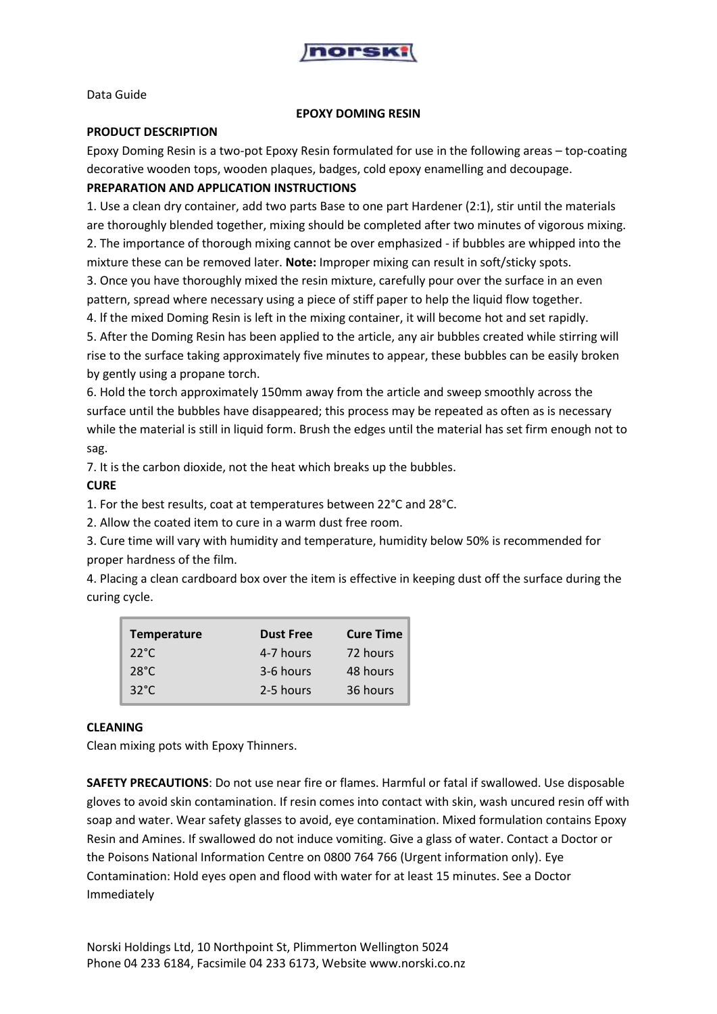

Data Guide

#### **EPOXY DOMING RESIN**

#### **PRODUCT DESCRIPTION**

Epoxy Doming Resin is a two-pot Epoxy Resin formulated for use in the following areas – top-coating decorative wooden tops, wooden plaques, badges, cold epoxy enamelling and decoupage.

# **PREPARATION AND APPLICATION INSTRUCTIONS**

1. Use a clean dry container, add two parts Base to one part Hardener (2:1), stir until the materials are thoroughly blended together, mixing should be completed after two minutes of vigorous mixing. 2. The importance of thorough mixing cannot be over emphasized - if bubbles are whipped into the

mixture these can be removed later. **Note:** Improper mixing can result in soft/sticky spots.

3. Once you have thoroughly mixed the resin mixture, carefully pour over the surface in an even pattern, spread where necessary using a piece of stiff paper to help the liquid flow together.

4. lf the mixed Doming Resin is left in the mixing container, it will become hot and set rapidly.

5. After the Doming Resin has been applied to the article, any air bubbles created while stirring will rise to the surface taking approximately five minutes to appear, these bubbles can be easily broken by gently using a propane torch.

6. Hold the torch approximately 150mm away from the article and sweep smoothly across the surface until the bubbles have disappeared; this process may be repeated as often as is necessary while the material is still in liquid form. Brush the edges until the material has set firm enough not to sag.

7. It is the carbon dioxide, not the heat which breaks up the bubbles.

# **CURE**

1. For the best results, coat at temperatures between 22°C and 28°C.

2. Allow the coated item to cure in a warm dust free room.

3. Cure time will vary with humidity and temperature, humidity below 50% is recommended for proper hardness of the film.

4. Placing a clean cardboard box over the item is effective in keeping dust off the surface during the curing cycle.

| <b>Temperature</b> | <b>Dust Free</b> | <b>Cure Time</b> |
|--------------------|------------------|------------------|
| $22^{\circ}$ C     | 4-7 hours        | 72 hours         |
| $28^{\circ}$ C     | 3-6 hours        | 48 hours         |
| $32^{\circ}$ C     | 2-5 hours        | 36 hours         |

# **CLEANING**

Clean mixing pots with Epoxy Thinners.

**SAFETY PRECAUTIONS**: Do not use near fire or flames. Harmful or fatal if swallowed. Use disposable gloves to avoid skin contamination. If resin comes into contact with skin, wash uncured resin off with soap and water. Wear safety glasses to avoid, eye contamination. Mixed formulation contains Epoxy Resin and Amines. If swallowed do not induce vomiting. Give a glass of water. Contact a Doctor or the Poisons National Information Centre on 0800 764 766 (Urgent information only). Eye Contamination: Hold eyes open and flood with water for at least 15 minutes. See a Doctor Immediately